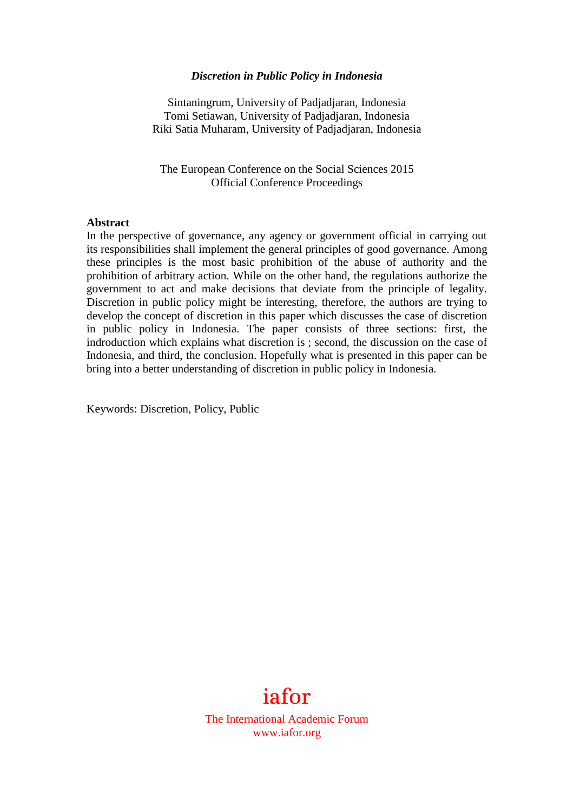#### *Discretion in Public Policy in Indonesia*

Sintaningrum, University of Padjadjaran, Indonesia Tomi Setiawan, University of Padjadjaran, Indonesia Riki Satia Muharam, University of Padjadjaran, Indonesia

The European Conference on the Social Sciences 2015 Official Conference Proceedings

#### **Abstract**

In the perspective of governance, any agency or government official in carrying out its responsibilities shall implement the general principles of good governance. Among these principles is the most basic prohibition of the abuse of authority and the prohibition of arbitrary action. While on the other hand, the regulations authorize the government to act and make decisions that deviate from the principle of legality. Discretion in public policy might be interesting, therefore, the authors are trying to develop the concept of discretion in this paper which discusses the case of discretion in public policy in Indonesia. The paper consists of three sections: first, the indroduction which explains what discretion is ; second, the discussion on the case of Indonesia, and third, the conclusion. Hopefully what is presented in this paper can be bring into a better understanding of discretion in public policy in Indonesia.

Keywords: Discretion, Policy, Public



The International Academic Forum www.iafor.org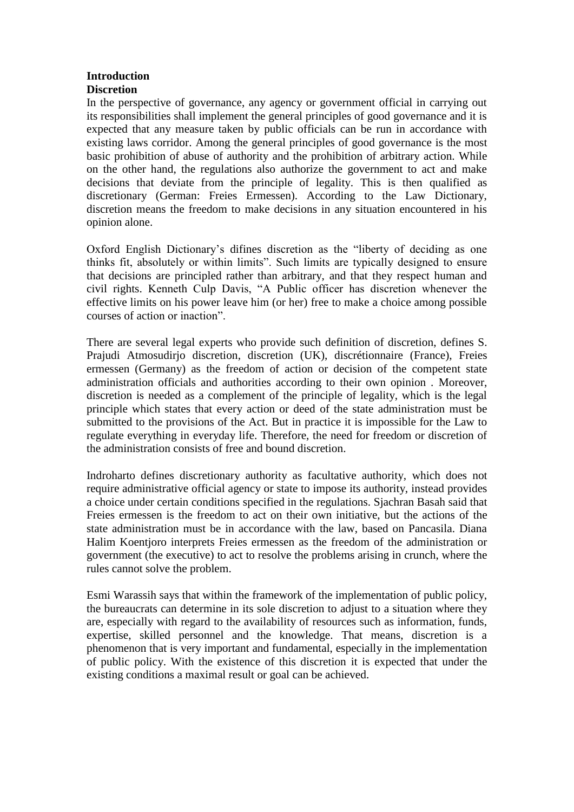#### **Introduction Discretion**

In the perspective of governance, any agency or government official in carrying out its responsibilities shall implement the general principles of good governance and it is expected that any measure taken by public officials can be run in accordance with existing laws corridor. Among the general principles of good governance is the most basic prohibition of abuse of authority and the prohibition of arbitrary action. While on the other hand, the regulations also authorize the government to act and make decisions that deviate from the principle of legality. This is then qualified as discretionary (German: Freies Ermessen). According to the Law Dictionary, discretion means the freedom to make decisions in any situation encountered in his opinion alone.

Oxford English Dictionary's difines discretion as the "liberty of deciding as one thinks fit, absolutely or within limits". Such limits are typically designed to ensure that decisions are principled rather than arbitrary, and that they respect human and civil rights. Kenneth Culp Davis, "A Public officer has discretion whenever the effective limits on his power leave him (or her) free to make a choice among possible courses of action or inaction".

There are several legal experts who provide such definition of discretion, defines S. Prajudi Atmosudirjo discretion, discretion (UK), discrétionnaire (France), Freies ermessen (Germany) as the freedom of action or decision of the competent state administration officials and authorities according to their own opinion . Moreover, discretion is needed as a complement of the principle of legality, which is the legal principle which states that every action or deed of the state administration must be submitted to the provisions of the Act. But in practice it is impossible for the Law to regulate everything in everyday life. Therefore, the need for freedom or discretion of the administration consists of free and bound discretion.

Indroharto defines discretionary authority as facultative authority, which does not require administrative official agency or state to impose its authority, instead provides a choice under certain conditions specified in the regulations. Sjachran Basah said that Freies ermessen is the freedom to act on their own initiative, but the actions of the state administration must be in accordance with the law, based on Pancasila. Diana Halim Koentjoro interprets Freies ermessen as the freedom of the administration or government (the executive) to act to resolve the problems arising in crunch, where the rules cannot solve the problem.

Esmi Warassih says that within the framework of the implementation of public policy, the bureaucrats can determine in its sole discretion to adjust to a situation where they are, especially with regard to the availability of resources such as information, funds, expertise, skilled personnel and the knowledge. That means, discretion is a phenomenon that is very important and fundamental, especially in the implementation of public policy. With the existence of this discretion it is expected that under the existing conditions a maximal result or goal can be achieved.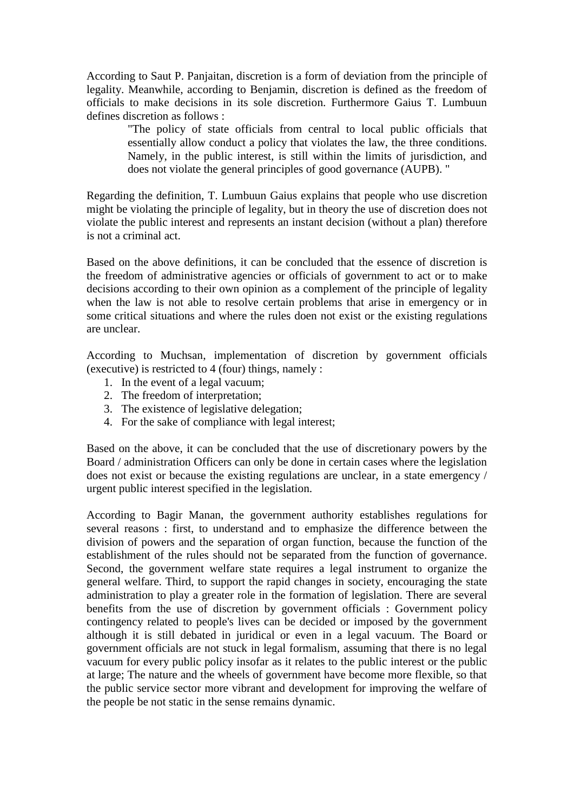According to Saut P. Panjaitan, discretion is a form of deviation from the principle of legality. Meanwhile, according to Benjamin, discretion is defined as the freedom of officials to make decisions in its sole discretion. Furthermore Gaius T. Lumbuun defines discretion as follows :

> "The policy of state officials from central to local public officials that essentially allow conduct a policy that violates the law, the three conditions. Namely, in the public interest, is still within the limits of jurisdiction, and does not violate the general principles of good governance (AUPB). "

Regarding the definition, T. Lumbuun Gaius explains that people who use discretion might be violating the principle of legality, but in theory the use of discretion does not violate the public interest and represents an instant decision (without a plan) therefore is not a criminal act.

Based on the above definitions, it can be concluded that the essence of discretion is the freedom of administrative agencies or officials of government to act or to make decisions according to their own opinion as a complement of the principle of legality when the law is not able to resolve certain problems that arise in emergency or in some critical situations and where the rules doen not exist or the existing regulations are unclear.

According to Muchsan, implementation of discretion by government officials (executive) is restricted to 4 (four) things, namely :

- 1. In the event of a legal vacuum;
- 2. The freedom of interpretation;
- 3. The existence of legislative delegation;
- 4. For the sake of compliance with legal interest;

Based on the above, it can be concluded that the use of discretionary powers by the Board / administration Officers can only be done in certain cases where the legislation does not exist or because the existing regulations are unclear, in a state emergency / urgent public interest specified in the legislation.

According to Bagir Manan, the government authority establishes regulations for several reasons : first, to understand and to emphasize the difference between the division of powers and the separation of organ function, because the function of the establishment of the rules should not be separated from the function of governance. Second, the government welfare state requires a legal instrument to organize the general welfare. Third, to support the rapid changes in society, encouraging the state administration to play a greater role in the formation of legislation. There are several benefits from the use of discretion by government officials : Government policy contingency related to people's lives can be decided or imposed by the government although it is still debated in juridical or even in a legal vacuum. The Board or government officials are not stuck in legal formalism, assuming that there is no legal vacuum for every public policy insofar as it relates to the public interest or the public at large; The nature and the wheels of government have become more flexible, so that the public service sector more vibrant and development for improving the welfare of the people be not static in the sense remains dynamic.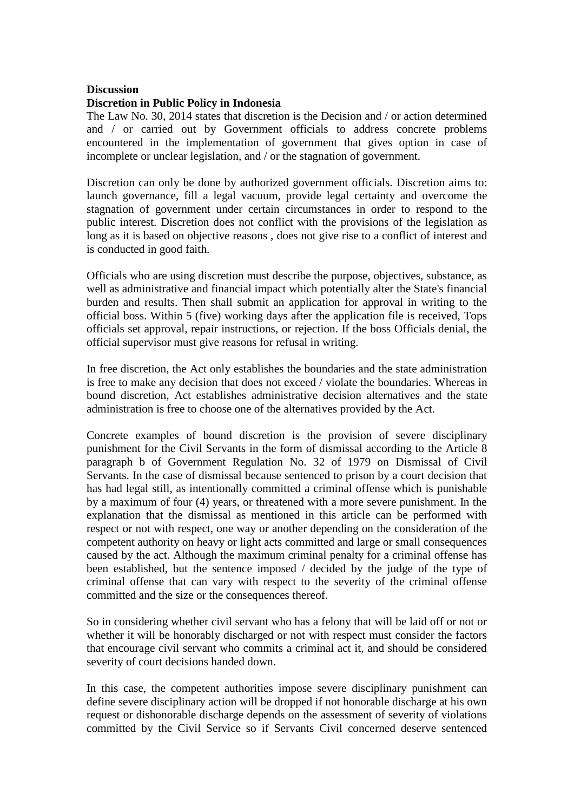## **Discussion**

### **Discretion in Public Policy in Indonesia**

The Law No. 30, 2014 states that discretion is the Decision and / or action determined and / or carried out by Government officials to address concrete problems encountered in the implementation of government that gives option in case of incomplete or unclear legislation, and / or the stagnation of government.

Discretion can only be done by authorized government officials. Discretion aims to: launch governance, fill a legal vacuum, provide legal certainty and overcome the stagnation of government under certain circumstances in order to respond to the public interest. Discretion does not conflict with the provisions of the legislation as long as it is based on objective reasons , does not give rise to a conflict of interest and is conducted in good faith.

Officials who are using discretion must describe the purpose, objectives, substance, as well as administrative and financial impact which potentially alter the State's financial burden and results. Then shall submit an application for approval in writing to the official boss. Within 5 (five) working days after the application file is received, Tops officials set approval, repair instructions, or rejection. If the boss Officials denial, the official supervisor must give reasons for refusal in writing.

In free discretion, the Act only establishes the boundaries and the state administration is free to make any decision that does not exceed / violate the boundaries. Whereas in bound discretion, Act establishes administrative decision alternatives and the state administration is free to choose one of the alternatives provided by the Act.

Concrete examples of bound discretion is the provision of severe disciplinary punishment for the Civil Servants in the form of dismissal according to the Article 8 paragraph b of Government Regulation No. 32 of 1979 on Dismissal of Civil Servants. In the case of dismissal because sentenced to prison by a court decision that has had legal still, as intentionally committed a criminal offense which is punishable by a maximum of four (4) years, or threatened with a more severe punishment. In the explanation that the dismissal as mentioned in this article can be performed with respect or not with respect, one way or another depending on the consideration of the competent authority on heavy or light acts committed and large or small consequences caused by the act. Although the maximum criminal penalty for a criminal offense has been established, but the sentence imposed / decided by the judge of the type of criminal offense that can vary with respect to the severity of the criminal offense committed and the size or the consequences thereof.

So in considering whether civil servant who has a felony that will be laid off or not or whether it will be honorably discharged or not with respect must consider the factors that encourage civil servant who commits a criminal act it, and should be considered severity of court decisions handed down.

In this case, the competent authorities impose severe disciplinary punishment can define severe disciplinary action will be dropped if not honorable discharge at his own request or dishonorable discharge depends on the assessment of severity of violations committed by the Civil Service so if Servants Civil concerned deserve sentenced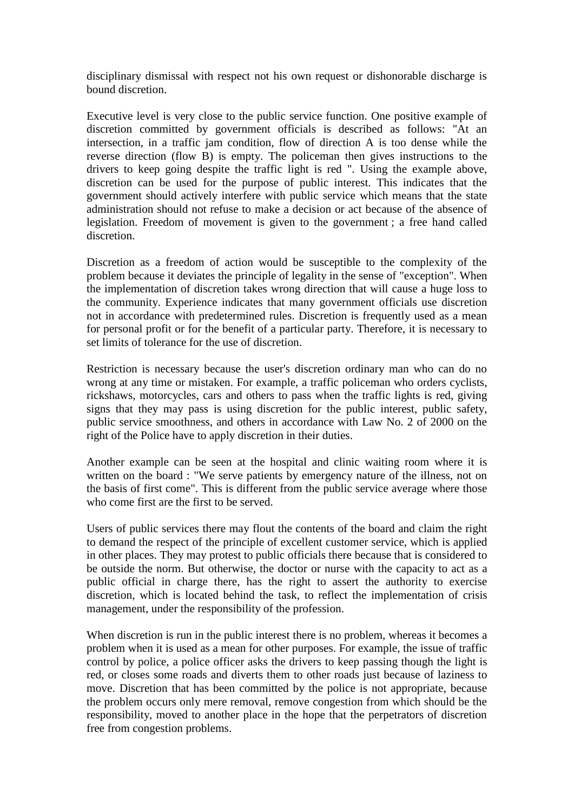disciplinary dismissal with respect not his own request or dishonorable discharge is bound discretion.

Executive level is very close to the public service function. One positive example of discretion committed by government officials is described as follows: "At an intersection, in a traffic jam condition, flow of direction A is too dense while the reverse direction (flow B) is empty. The policeman then gives instructions to the drivers to keep going despite the traffic light is red ". Using the example above, discretion can be used for the purpose of public interest. This indicates that the government should actively interfere with public service which means that the state administration should not refuse to make a decision or act because of the absence of legislation. Freedom of movement is given to the government ; a free hand called discretion.

Discretion as a freedom of action would be susceptible to the complexity of the problem because it deviates the principle of legality in the sense of "exception". When the implementation of discretion takes wrong direction that will cause a huge loss to the community. Experience indicates that many government officials use discretion not in accordance with predetermined rules. Discretion is frequently used as a mean for personal profit or for the benefit of a particular party. Therefore, it is necessary to set limits of tolerance for the use of discretion.

Restriction is necessary because the user's discretion ordinary man who can do no wrong at any time or mistaken. For example, a traffic policeman who orders cyclists, rickshaws, motorcycles, cars and others to pass when the traffic lights is red, giving signs that they may pass is using discretion for the public interest, public safety, public service smoothness, and others in accordance with Law No. 2 of 2000 on the right of the Police have to apply discretion in their duties.

Another example can be seen at the hospital and clinic waiting room where it is written on the board : "We serve patients by emergency nature of the illness, not on the basis of first come". This is different from the public service average where those who come first are the first to be served.

Users of public services there may flout the contents of the board and claim the right to demand the respect of the principle of excellent customer service, which is applied in other places. They may protest to public officials there because that is considered to be outside the norm. But otherwise, the doctor or nurse with the capacity to act as a public official in charge there, has the right to assert the authority to exercise discretion, which is located behind the task, to reflect the implementation of crisis management, under the responsibility of the profession.

When discretion is run in the public interest there is no problem, whereas it becomes a problem when it is used as a mean for other purposes. For example, the issue of traffic control by police, a police officer asks the drivers to keep passing though the light is red, or closes some roads and diverts them to other roads just because of laziness to move. Discretion that has been committed by the police is not appropriate, because the problem occurs only mere removal, remove congestion from which should be the responsibility, moved to another place in the hope that the perpetrators of discretion free from congestion problems.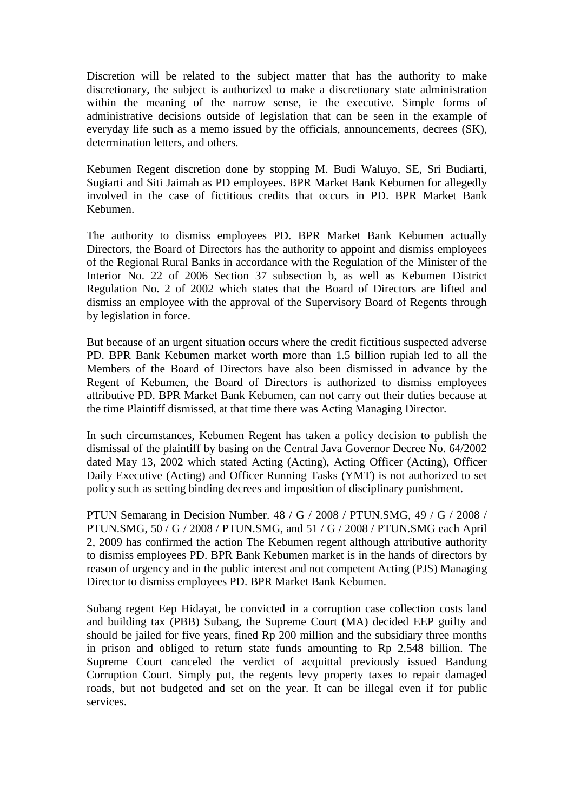Discretion will be related to the subject matter that has the authority to make discretionary, the subject is authorized to make a discretionary state administration within the meaning of the narrow sense, ie the executive. Simple forms of administrative decisions outside of legislation that can be seen in the example of everyday life such as a memo issued by the officials, announcements, decrees (SK), determination letters, and others.

Kebumen Regent discretion done by stopping M. Budi Waluyo, SE, Sri Budiarti, Sugiarti and Siti Jaimah as PD employees. BPR Market Bank Kebumen for allegedly involved in the case of fictitious credits that occurs in PD. BPR Market Bank Kebumen.

The authority to dismiss employees PD. BPR Market Bank Kebumen actually Directors, the Board of Directors has the authority to appoint and dismiss employees of the Regional Rural Banks in accordance with the Regulation of the Minister of the Interior No. 22 of 2006 Section 37 subsection b, as well as Kebumen District Regulation No. 2 of 2002 which states that the Board of Directors are lifted and dismiss an employee with the approval of the Supervisory Board of Regents through by legislation in force.

But because of an urgent situation occurs where the credit fictitious suspected adverse PD. BPR Bank Kebumen market worth more than 1.5 billion rupiah led to all the Members of the Board of Directors have also been dismissed in advance by the Regent of Kebumen, the Board of Directors is authorized to dismiss employees attributive PD. BPR Market Bank Kebumen, can not carry out their duties because at the time Plaintiff dismissed, at that time there was Acting Managing Director.

In such circumstances, Kebumen Regent has taken a policy decision to publish the dismissal of the plaintiff by basing on the Central Java Governor Decree No. 64/2002 dated May 13, 2002 which stated Acting (Acting), Acting Officer (Acting), Officer Daily Executive (Acting) and Officer Running Tasks (YMT) is not authorized to set policy such as setting binding decrees and imposition of disciplinary punishment.

PTUN Semarang in Decision Number. 48 / G / 2008 / PTUN.SMG, 49 / G / 2008 / PTUN.SMG, 50 / G / 2008 / PTUN.SMG, and 51 / G / 2008 / PTUN.SMG each April 2, 2009 has confirmed the action The Kebumen regent although attributive authority to dismiss employees PD. BPR Bank Kebumen market is in the hands of directors by reason of urgency and in the public interest and not competent Acting (PJS) Managing Director to dismiss employees PD. BPR Market Bank Kebumen.

Subang regent Eep Hidayat, be convicted in a corruption case collection costs land and building tax (PBB) Subang, the Supreme Court (MA) decided EEP guilty and should be jailed for five years, fined Rp 200 million and the subsidiary three months in prison and obliged to return state funds amounting to Rp 2,548 billion. The Supreme Court canceled the verdict of acquittal previously issued Bandung Corruption Court. Simply put, the regents levy property taxes to repair damaged roads, but not budgeted and set on the year. It can be illegal even if for public services.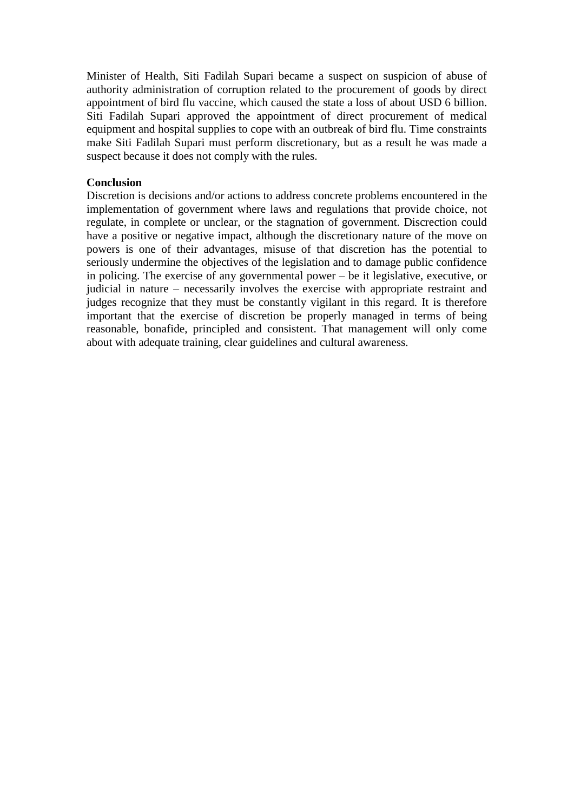Minister of Health, Siti Fadilah Supari became a suspect on suspicion of abuse of authority administration of corruption related to the procurement of goods by direct appointment of bird flu vaccine, which caused the state a loss of about USD 6 billion. Siti Fadilah Supari approved the appointment of direct procurement of medical equipment and hospital supplies to cope with an outbreak of bird flu. Time constraints make Siti Fadilah Supari must perform discretionary, but as a result he was made a suspect because it does not comply with the rules.

## **Conclusion**

Discretion is decisions and/or actions to address concrete problems encountered in the implementation of government where laws and regulations that provide choice, not regulate, in complete or unclear, or the stagnation of government. Discrection could have a positive or negative impact, although the discretionary nature of the move on powers is one of their advantages, misuse of that discretion has the potential to seriously undermine the objectives of the legislation and to damage public confidence in policing. The exercise of any governmental power – be it legislative, executive, or judicial in nature – necessarily involves the exercise with appropriate restraint and judges recognize that they must be constantly vigilant in this regard. It is therefore important that the exercise of discretion be properly managed in terms of being reasonable, bonafide, principled and consistent. That management will only come about with adequate training, clear guidelines and cultural awareness.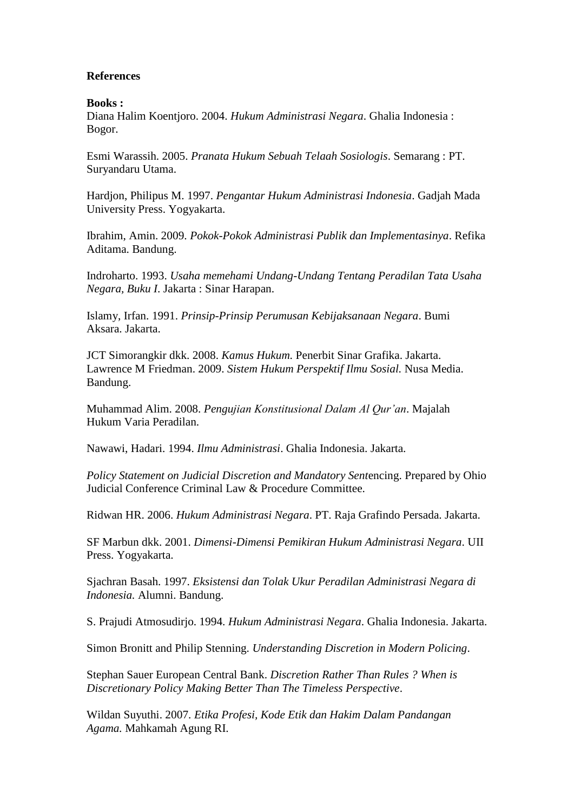# **References**

## **Books :**

Diana Halim Koentjoro. 2004. *Hukum Administrasi Negara*. Ghalia Indonesia : Bogor.

Esmi Warassih. 2005. *Pranata Hukum Sebuah Telaah Sosiologis*. Semarang : PT. Suryandaru Utama.

Hardjon, Philipus M. 1997. *Pengantar Hukum Administrasi Indonesia*. Gadjah Mada University Press. Yogyakarta.

Ibrahim, Amin. 2009. *Pokok-Pokok Administrasi Publik dan Implementasinya*. Refika Aditama. Bandung.

Indroharto. 1993. *Usaha memehami Undang-Undang Tentang Peradilan Tata Usaha Negara, Buku I*. Jakarta : Sinar Harapan.

Islamy, Irfan. 1991. *Prinsip-Prinsip Perumusan Kebijaksanaan Negara*. Bumi Aksara. Jakarta.

JCT Simorangkir dkk. 2008. *Kamus Hukum.* Penerbit Sinar Grafika. Jakarta. Lawrence M Friedman. 2009. *Sistem Hukum Perspektif Ilmu Sosial.* Nusa Media. Bandung.

Muhammad Alim. 2008. *Pengujian Konstitusional Dalam Al Qur'an*. Majalah Hukum Varia Peradilan.

Nawawi, Hadari. 1994. *Ilmu Administrasi*. Ghalia Indonesia. Jakarta.

*Policy Statement on Judicial Discretion and Mandatory Sent*encing. Prepared by Ohio Judicial Conference Criminal Law & Procedure Committee.

Ridwan HR. 2006. *Hukum Administrasi Negara*. PT. Raja Grafindo Persada. Jakarta.

SF Marbun dkk. 2001. *Dimensi-Dimensi Pemikiran Hukum Administrasi Negara*. UII Press. Yogyakarta.

Sjachran Basah. 1997. *Eksistensi dan Tolak Ukur Peradilan Administrasi Negara di Indonesia.* Alumni. Bandung.

S. Prajudi Atmosudirjo. 1994. *Hukum Administrasi Negara*. Ghalia Indonesia. Jakarta.

Simon Bronitt and Philip Stenning. *Understanding Discretion in Modern Policing*.

Stephan Sauer European Central Bank. *Discretion Rather Than Rules ? When is Discretionary Policy Making Better Than The Timeless Perspective*.

[Wildan](http://studihukum.blogspot.com/) Suyuthi. 2007. *Etika Profesi, Kode Etik dan Hakim Dalam Pandangan Agama.* Mahkamah Agung RI.